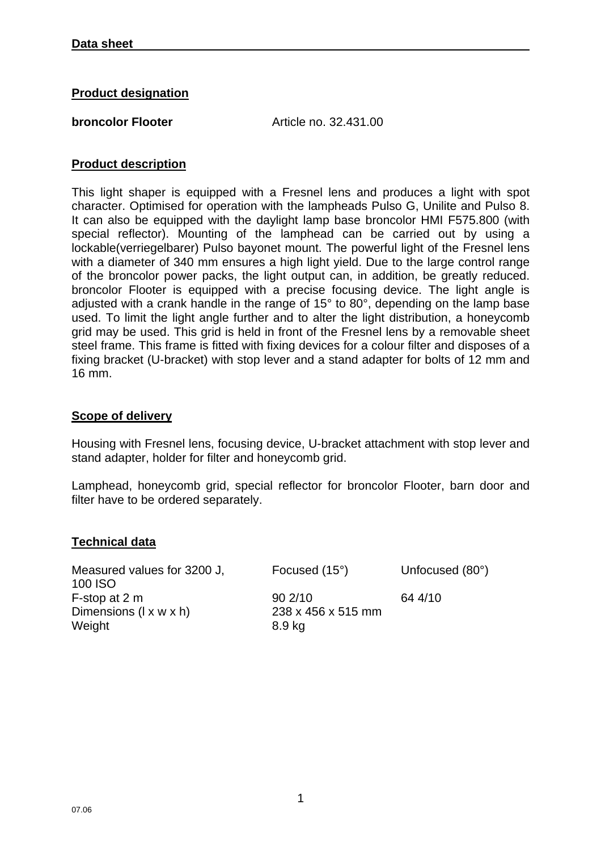### **Product designation**

**broncolor Flooter Article no. 32.431.00** 

## **Product description**

This light shaper is equipped with a Fresnel lens and produces a light with spot character. Optimised for operation with the lampheads Pulso G, Unilite and Pulso 8. It can also be equipped with the daylight lamp base broncolor HMI F575.800 (with special reflector). Mounting of the lamphead can be carried out by using a lockable(verriegelbarer) Pulso bayonet mount. The powerful light of the Fresnel lens with a diameter of 340 mm ensures a high light yield. Due to the large control range of the broncolor power packs, the light output can, in addition, be greatly reduced. broncolor Flooter is equipped with a precise focusing device. The light angle is adjusted with a crank handle in the range of 15° to 80°, depending on the lamp base used. To limit the light angle further and to alter the light distribution, a honeycomb grid may be used. This grid is held in front of the Fresnel lens by a removable sheet steel frame. This frame is fitted with fixing devices for a colour filter and disposes of a fixing bracket (U-bracket) with stop lever and a stand adapter for bolts of 12 mm and 16 mm.

### **Scope of delivery**

Housing with Fresnel lens, focusing device, U-bracket attachment with stop lever and stand adapter, holder for filter and honeycomb grid.

Lamphead, honeycomb grid, special reflector for broncolor Flooter, barn door and filter have to be ordered separately.

#### **Technical data**

Measured values for 3200 J, 100 ISO F-stop at 2 m 90 2/10 64 4/10 Dimensions (l x w x h) 238 x 456 x 515 mm Weight 8.9 kg

Focused (15°) Unfocused (80°)